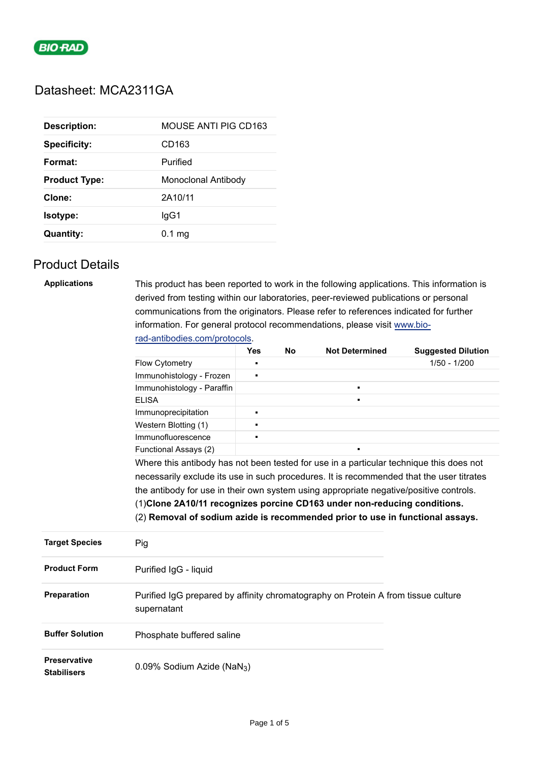

# Datasheet: MCA2311GA

| <b>Description:</b>  | <b>MOUSE ANTI PIG CD163</b> |
|----------------------|-----------------------------|
| <b>Specificity:</b>  | CD <sub>163</sub>           |
| Format:              | Purified                    |
| <b>Product Type:</b> | Monoclonal Antibody         |
| Clone:               | 2A10/11                     |
| <b>Isotype:</b>      | lgG1                        |
| <b>Quantity:</b>     | $0.1 \text{ mg}$            |

## Product Details

| <b>Applications</b>    | This product has been reported to work in the following applications. This information is<br>derived from testing within our laboratories, peer-reviewed publications or personal<br>communications from the originators. Please refer to references indicated for further<br>information. For general protocol recommendations, please visit www.bio-<br>rad-antibodies.com/protocols. |                |           |                       |                           |  |  |
|------------------------|-----------------------------------------------------------------------------------------------------------------------------------------------------------------------------------------------------------------------------------------------------------------------------------------------------------------------------------------------------------------------------------------|----------------|-----------|-----------------------|---------------------------|--|--|
|                        |                                                                                                                                                                                                                                                                                                                                                                                         | <b>Yes</b>     | <b>No</b> | <b>Not Determined</b> | <b>Suggested Dilution</b> |  |  |
|                        | <b>Flow Cytometry</b>                                                                                                                                                                                                                                                                                                                                                                   | $\blacksquare$ |           |                       | $1/50 - 1/200$            |  |  |
|                        | Immunohistology - Frozen                                                                                                                                                                                                                                                                                                                                                                | $\blacksquare$ |           |                       |                           |  |  |
|                        | Immunohistology - Paraffin                                                                                                                                                                                                                                                                                                                                                              |                |           | $\blacksquare$        |                           |  |  |
|                        | <b>ELISA</b>                                                                                                                                                                                                                                                                                                                                                                            |                |           |                       |                           |  |  |
|                        | Immunoprecipitation                                                                                                                                                                                                                                                                                                                                                                     | $\blacksquare$ |           |                       |                           |  |  |
|                        | Western Blotting (1)                                                                                                                                                                                                                                                                                                                                                                    | $\blacksquare$ |           |                       |                           |  |  |
|                        | Immunofluorescence                                                                                                                                                                                                                                                                                                                                                                      | $\blacksquare$ |           |                       |                           |  |  |
|                        | Functional Assays (2)                                                                                                                                                                                                                                                                                                                                                                   |                |           |                       |                           |  |  |
|                        | Where this antibody has not been tested for use in a particular technique this does not<br>necessarily exclude its use in such procedures. It is recommended that the user titrates                                                                                                                                                                                                     |                |           |                       |                           |  |  |
|                        |                                                                                                                                                                                                                                                                                                                                                                                         |                |           |                       |                           |  |  |
|                        |                                                                                                                                                                                                                                                                                                                                                                                         |                |           |                       |                           |  |  |
|                        | (2) Removal of sodium azide is recommended prior to use in functional assays.                                                                                                                                                                                                                                                                                                           |                |           |                       |                           |  |  |
| <b>Target Species</b>  | Pig                                                                                                                                                                                                                                                                                                                                                                                     |                |           |                       |                           |  |  |
| <b>Product Form</b>    | Purified IgG - liquid                                                                                                                                                                                                                                                                                                                                                                   |                |           |                       |                           |  |  |
| Preparation            | Purified IgG prepared by affinity chromatography on Protein A from tissue culture<br>supernatant                                                                                                                                                                                                                                                                                        |                |           |                       |                           |  |  |
| <b>Buffer Solution</b> | Phosphate buffered saline                                                                                                                                                                                                                                                                                                                                                               |                |           |                       |                           |  |  |

**Preservative Stabilisers** 0.09% Sodium Azide (NaN3)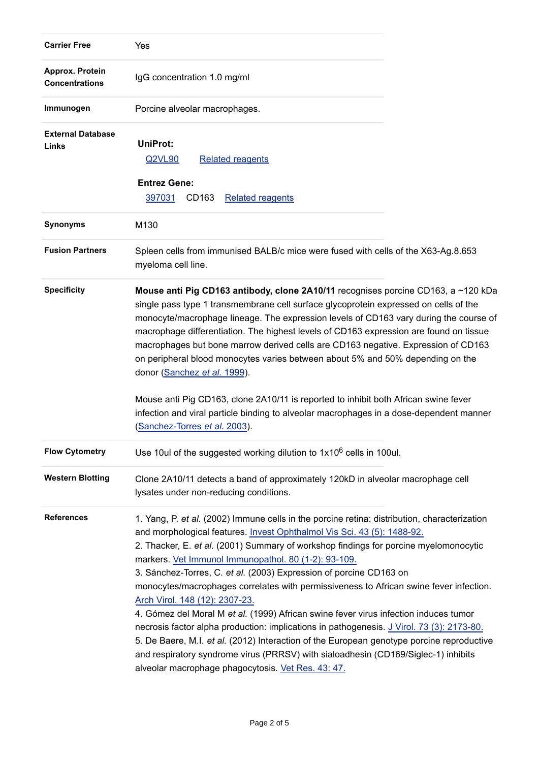| <b>Carrier Free</b>                      | Yes                                                                                                                                                                                                                                                                                                                                                                                                                                                                                                                                                                                                                                                                                                                                                                                                                                                                                                                                                     |  |
|------------------------------------------|---------------------------------------------------------------------------------------------------------------------------------------------------------------------------------------------------------------------------------------------------------------------------------------------------------------------------------------------------------------------------------------------------------------------------------------------------------------------------------------------------------------------------------------------------------------------------------------------------------------------------------------------------------------------------------------------------------------------------------------------------------------------------------------------------------------------------------------------------------------------------------------------------------------------------------------------------------|--|
| Approx. Protein<br><b>Concentrations</b> | IgG concentration 1.0 mg/ml                                                                                                                                                                                                                                                                                                                                                                                                                                                                                                                                                                                                                                                                                                                                                                                                                                                                                                                             |  |
| Immunogen                                | Porcine alveolar macrophages.                                                                                                                                                                                                                                                                                                                                                                                                                                                                                                                                                                                                                                                                                                                                                                                                                                                                                                                           |  |
| <b>External Database</b><br>Links        | <b>UniProt:</b><br>Q2VL90<br><b>Related reagents</b>                                                                                                                                                                                                                                                                                                                                                                                                                                                                                                                                                                                                                                                                                                                                                                                                                                                                                                    |  |
|                                          | <b>Entrez Gene:</b><br>397031<br>CD163<br><b>Related reagents</b>                                                                                                                                                                                                                                                                                                                                                                                                                                                                                                                                                                                                                                                                                                                                                                                                                                                                                       |  |
| <b>Synonyms</b>                          | M130                                                                                                                                                                                                                                                                                                                                                                                                                                                                                                                                                                                                                                                                                                                                                                                                                                                                                                                                                    |  |
| <b>Fusion Partners</b>                   | Spleen cells from immunised BALB/c mice were fused with cells of the X63-Ag.8.653<br>myeloma cell line.                                                                                                                                                                                                                                                                                                                                                                                                                                                                                                                                                                                                                                                                                                                                                                                                                                                 |  |
| <b>Specificity</b>                       | Mouse anti Pig CD163 antibody, clone 2A10/11 recognises porcine CD163, a ~120 kDa<br>single pass type 1 transmembrane cell surface glycoprotein expressed on cells of the<br>monocyte/macrophage lineage. The expression levels of CD163 vary during the course of<br>macrophage differentiation. The highest levels of CD163 expression are found on tissue<br>macrophages but bone marrow derived cells are CD163 negative. Expression of CD163<br>on peripheral blood monocytes varies between about 5% and 50% depending on the<br>donor (Sanchez et al. 1999).                                                                                                                                                                                                                                                                                                                                                                                     |  |
|                                          | Mouse anti Pig CD163, clone 2A10/11 is reported to inhibit both African swine fever<br>infection and viral particle binding to alveolar macrophages in a dose-dependent manner<br>(Sanchez-Torres et al. 2003).                                                                                                                                                                                                                                                                                                                                                                                                                                                                                                                                                                                                                                                                                                                                         |  |
| <b>Flow Cytometry</b>                    | Use 10ul of the suggested working dilution to 1x10 <sup>6</sup> cells in 100ul.                                                                                                                                                                                                                                                                                                                                                                                                                                                                                                                                                                                                                                                                                                                                                                                                                                                                         |  |
| <b>Western Blotting</b>                  | Clone 2A10/11 detects a band of approximately 120kD in alveolar macrophage cell<br>lysates under non-reducing conditions.                                                                                                                                                                                                                                                                                                                                                                                                                                                                                                                                                                                                                                                                                                                                                                                                                               |  |
| <b>References</b>                        | 1. Yang, P. et al. (2002) Immune cells in the porcine retina: distribution, characterization<br>and morphological features. Invest Ophthalmol Vis Sci. 43 (5): 1488-92.<br>2. Thacker, E. et al. (2001) Summary of workshop findings for porcine myelomonocytic<br>markers. Vet Immunol Immunopathol. 80 (1-2): 93-109.<br>3. Sánchez-Torres, C. et al. (2003) Expression of porcine CD163 on<br>monocytes/macrophages correlates with permissiveness to African swine fever infection.<br>Arch Virol. 148 (12): 2307-23.<br>4. Gómez del Moral M et al. (1999) African swine fever virus infection induces tumor<br>necrosis factor alpha production: implications in pathogenesis. J Virol. 73 (3): 2173-80.<br>5. De Baere, M.I. et al. (2012) Interaction of the European genotype porcine reproductive<br>and respiratory syndrome virus (PRRSV) with sialoadhesin (CD169/Siglec-1) inhibits<br>alveolar macrophage phagocytosis. Vet Res. 43: 47. |  |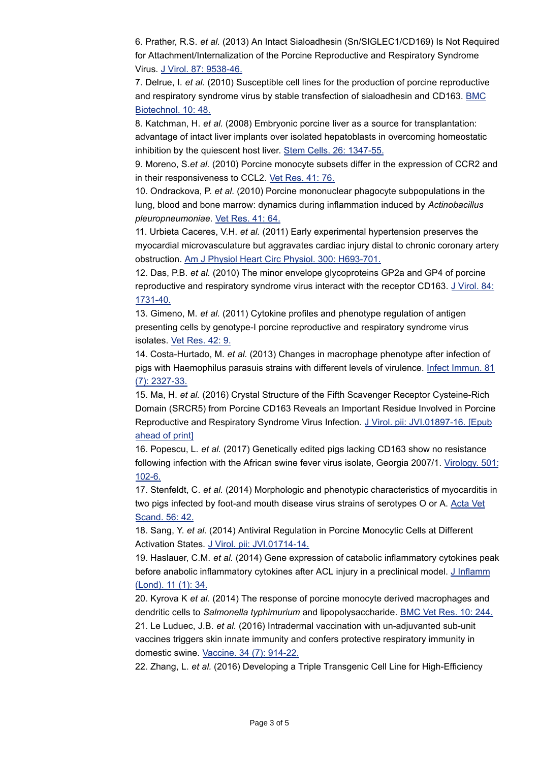6. Prather, R.S. *et al.* (2013) An Intact Sialoadhesin (Sn/SIGLEC1/CD169) Is Not Required for Attachment/Internalization of the Porcine Reproductive and Respiratory Syndrome Virus. [J Virol. 87: 9538-46.](http://www.ncbi.nlm.nih.gov/pubmed/23785195)

7. Delrue, I. *et al.* (2010) Susceptible cell lines for the production of porcine reproductive and respiratory syndrome virus by stable transfection of sialoadhesin and CD163. [BMC](http://www.ncbi.nlm.nih.gov/pubmed/20587060) Biotechnol. 10: 48.

8. Katchman, H. *et al.* (2008) Embryonic porcine liver as a source for transplantation: advantage of intact liver implants over isolated hepatoblasts in overcoming homeostatic inhibition by the quiescent host liver. [Stem Cells. 26: 1347-55.](http://www.ncbi.nlm.nih.gov/pubmed/18339772)

9. Moreno, S.*et al.* (2010) Porcine monocyte subsets differ in the expression of CCR2 and in their responsiveness to CCL2. [Vet Res. 41: 76.](http://www.ncbi.nlm.nih.gov/pubmed/20670605)

10. Ondrackova, P. *et al.* (2010) Porcine mononuclear phagocyte subpopulations in the lung, blood and bone marrow: dynamics during inflammation induced by *Actinobacillus pleuropneumoniae*. [Vet Res. 41: 64.](http://www.ncbi.nlm.nih.gov/pubmed/20519113)

11. Urbieta Caceres, V.H. *et al.* (2011) Early experimental hypertension preserves the myocardial microvasculature but aggravates cardiac injury distal to chronic coronary artery obstruction. [Am J Physiol Heart Circ Physiol. 300: H693-701.](http://www.ncbi.nlm.nih.gov/pubmed/21131477)

12. Das, P.B. *et al.* (2010) The minor envelope glycoproteins GP2a and GP4 of porcine reproductive and respiratory syndrome virus interact with the receptor CD163. [J Virol. 84:](http://www.ncbi.nlm.nih.gov/pubmed/19939927) 1731-40.

13. Gimeno, M. *et al.* (2011) Cytokine profiles and phenotype regulation of antigen presenting cells by genotype-I porcine reproductive and respiratory syndrome virus isolates. [Vet Res. 42: 9.](http://www.ncbi.nlm.nih.gov/pubmed/21314968)

14. Costa-Hurtado, M. *et al.* (2013) Changes in macrophage phenotype after infection of pigs with Haemophilus parasuis strains with different levels of virulence. [Infect Immun. 81](http://www.ncbi.nlm.nih.gov/pubmed/23589574) (7): 2327-33.

15. Ma, H. *et al.* (2016) Crystal Structure of the Fifth Scavenger Receptor Cysteine-Rich Domain (SRCR5) from Porcine CD163 Reveals an Important Residue Involved in Porcine Reproductive and Respiratory Syndrome Virus Infection. [J Virol. pii: JVI.01897-16. \[Epub](http://www.ncbi.nlm.nih.gov/pubmed/27881657) ahead of print]

16. Popescu, L. *et al.* (2017) Genetically edited pigs lacking CD163 show no resistance following infection with the African swine fever virus isolate, Georgia 2007/1. [Virology. 501:](http://www.ncbi.nlm.nih.gov/pubmed/27898335) 102-6.

17. Stenfeldt, C. *et al.* (2014) Morphologic and phenotypic characteristics of myocarditis in two pigs infected by foot-and mouth disease virus strains of serotypes O or A. [Acta Vet](http://www.ncbi.nlm.nih.gov/pubmed/25015718) Scand. 56: 42.

18. Sang, Y. *et al.* (2014) Antiviral Regulation in Porcine Monocytic Cells at Different Activation States. [J Virol. pii: JVI.01714-14.](http://www.ncbi.nlm.nih.gov/pubmed/25056886)

19. Haslauer, C.M. *et al.* (2014) Gene expression of catabolic inflammatory cytokines peak before anabolic inflammatory cytokines after ACL injury in a preclinical model. [J Inflamm](http://www.ncbi.nlm.nih.gov/pubmed/25400511) (Lond). 11 (1): 34.

20. Kyrova K *et al.* (2014) The response of porcine monocyte derived macrophages and dendritic cells to *Salmonella typhimurium* and lipopolysaccharide. [BMC Vet Res. 10: 244.](http://www.ncbi.nlm.nih.gov/pubmed/25270530)

21. Le Luduec, J.B. *et al.* (2016) Intradermal vaccination with un-adjuvanted sub-unit vaccines triggers skin innate immunity and confers protective respiratory immunity in domestic swine. [Vaccine. 34 \(7\): 914-22.](http://www.ncbi.nlm.nih.gov/pubmed/26768129)

22. Zhang, L. *et al.* (2016) Developing a Triple Transgenic Cell Line for High-Efficiency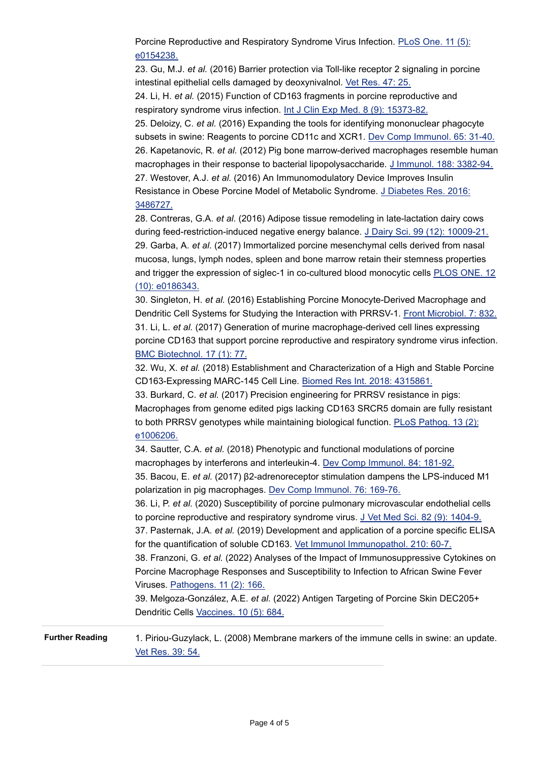Porcine Reproductive and Respiratory Syndrome Virus Infection. [PLoS One. 11 \(5\):](http://www.ncbi.nlm.nih.gov/pubmed/27182980) e0154238.

23. Gu, M.J. *et al.* (2016) Barrier protection via Toll-like receptor 2 signaling in porcine intestinal epithelial cells damaged by deoxynivalnol. [Vet Res. 47: 25.](http://www.ncbi.nlm.nih.gov/pubmed/26857454)

24. Li, H. *et al.* (2015) Function of CD163 fragments in porcine reproductive and respiratory syndrome virus infection. [Int J Clin Exp Med. 8 \(9\): 15373-82.](http://www.ncbi.nlm.nih.gov/pubmed/26629026)

25. Deloizy, C. *et al.* (2016) Expanding the tools for identifying mononuclear phagocyte subsets in swine: Reagents to porcine CD11c and XCR1. [Dev Comp Immunol. 65: 31-40.](http://www.ncbi.nlm.nih.gov/pubmed/27345169) 26. Kapetanovic, R. *et al.* (2012) Pig bone marrow-derived macrophages resemble human macrophages in their response to bacterial lipopolysaccharide. [J Immunol. 188: 3382-94.](http://www.ncbi.nlm.nih.gov/pubmed/22393154) 27. Westover, A.J. *et al.* (2016) An Immunomodulatory Device Improves Insulin Resistance in Obese Porcine Model of Metabolic Syndrome. [J Diabetes Res. 2016:](http://www.ncbi.nlm.nih.gov/pubmed/27819007)

#### 3486727.

28. Contreras, G.A. *et al.* (2016) Adipose tissue remodeling in late-lactation dairy cows during feed-restriction-induced negative energy balance. [J Dairy Sci. 99 \(12\): 10009-21.](http://www.ncbi.nlm.nih.gov/pubmed/27720147) 29. Garba, A. *et al.* (2017) Immortalized porcine mesenchymal cells derived from nasal mucosa, lungs, lymph nodes, spleen and bone marrow retain their stemness properties and trigger the expression of siglec-1 in co-cultured blood monocytic cells [PLOS ONE. 12](http://dx.doi.org/10.1371/journal.pone.0186343) (10): e0186343.

30. Singleton, H. *et al.* (2016) Establishing Porcine Monocyte-Derived Macrophage and Dendritic Cell Systems for Studying the Interaction with PRRSV-1. [Front Microbiol. 7: 832.](http://www.ncbi.nlm.nih.gov/pubmed/27313573) 31. Li, L. *et al.* (2017) Generation of murine macrophage-derived cell lines expressing porcine CD163 that support porcine reproductive and respiratory syndrome virus infection. [BMC Biotechnol. 17 \(1\): 77.](http://www.ncbi.nlm.nih.gov/pubmed/29121904)

32. Wu, X. *et al.* (2018) Establishment and Characterization of a High and Stable Porcine CD163-Expressing MARC-145 Cell Line. [Biomed Res Int. 2018: 4315861.](http://www.ncbi.nlm.nih.gov/pubmed/29682543)

33. Burkard, C. *et al.* (2017) Precision engineering for PRRSV resistance in pigs: Macrophages from genome edited pigs lacking CD163 SRCR5 domain are fully resistant to both PRRSV genotypes while maintaining biological function. [PLoS Pathog. 13 \(2\):](http://www.ncbi.nlm.nih.gov/pubmed/28231264) e1006206.

34. Sautter, C.A. *et al.* (2018) Phenotypic and functional modulations of porcine macrophages by interferons and interleukin-4. [Dev Comp Immunol. 84: 181-92.](http://www.ncbi.nlm.nih.gov/pubmed/29408047) 35. Bacou, E. *et al.* (2017) β2-adrenoreceptor stimulation dampens the LPS-induced M1 polarization in pig macrophages. [Dev Comp Immunol. 76: 169-76.](http://www.ncbi.nlm.nih.gov/pubmed/28633932)

36. Li, P. *et al.* (2020) Susceptibility of porcine pulmonary microvascular endothelial cells to porcine reproductive and respiratory syndrome virus. [J Vet Med Sci. 82 \(9\): 1404-9.](http://www.ncbi.nlm.nih.gov/pubmed/32830156) 37. Pasternak, J.A. *et al.* (2019) Development and application of a porcine specific ELISA

for the quantification of soluble CD163. [Vet Immunol Immunopathol. 210: 60-7.](http://www.ncbi.nlm.nih.gov/pubmed/30947982) 38. Franzoni, G. *et al.* (2022) Analyses of the Impact of Immunosuppressive Cytokines on

Porcine Macrophage Responses and Susceptibility to Infection to African Swine Fever Viruses. [Pathogens. 11 \(2\): 166.](http://www.ncbi.nlm.nih.gov/pubmed/35215110)

39. Melgoza-González, A.E. *et al.* (2022) Antigen Targeting of Porcine Skin DEC205+ Dendritic Cells [Vaccines. 10 \(5\): 684.](http://dx.doi.org/10.3390/vaccines10050684)

Further Reading 1. Piriou-Guzylack, L. (2008) Membrane markers of the immune cells in swine: an update. [Vet Res. 39: 54.](http://www.ncbi.nlm.nih.gov/pubmed/18638439)